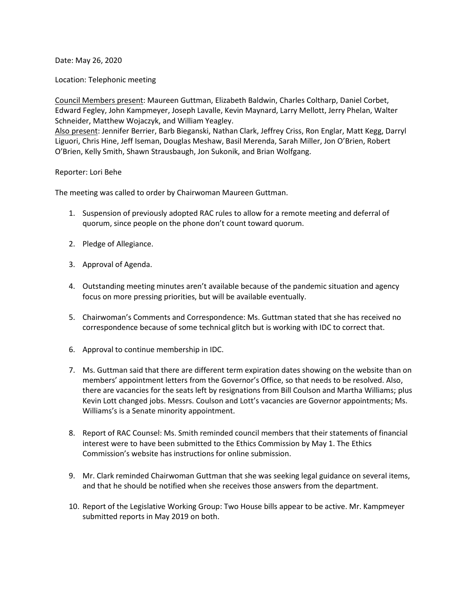Date: May 26, 2020

Location: Telephonic meeting

Council Members present: Maureen Guttman, Elizabeth Baldwin, Charles Coltharp, Daniel Corbet, Edward Fegley, John Kampmeyer, Joseph Lavalle, Kevin Maynard, Larry Mellott, Jerry Phelan, Walter Schneider, Matthew Wojaczyk, and William Yeagley. Also present: Jennifer Berrier, Barb Bieganski, Nathan Clark, Jeffrey Criss, Ron Englar, Matt Kegg, Darryl

Liguori, Chris Hine, Jeff Iseman, Douglas Meshaw, Basil Merenda, Sarah Miller, Jon O'Brien, Robert O'Brien, Kelly Smith, Shawn Strausbaugh, Jon Sukonik, and Brian Wolfgang.

## Reporter: Lori Behe

The meeting was called to order by Chairwoman Maureen Guttman.

- 1. Suspension of previously adopted RAC rules to allow for a remote meeting and deferral of quorum, since people on the phone don't count toward quorum.
- 2. Pledge of Allegiance.
- 3. Approval of Agenda.
- 4. Outstanding meeting minutes aren't available because of the pandemic situation and agency focus on more pressing priorities, but will be available eventually.
- 5. Chairwoman's Comments and Correspondence: Ms. Guttman stated that she has received no correspondence because of some technical glitch but is working with IDC to correct that.
- 6. Approval to continue membership in IDC.
- 7. Ms. Guttman said that there are different term expiration dates showing on the website than on members' appointment letters from the Governor's Office, so that needs to be resolved. Also, there are vacancies for the seats left by resignations from Bill Coulson and Martha Williams; plus Kevin Lott changed jobs. Messrs. Coulson and Lott's vacancies are Governor appointments; Ms. Williams's is a Senate minority appointment.
- 8. Report of RAC Counsel: Ms. Smith reminded council members that their statements of financial interest were to have been submitted to the Ethics Commission by May 1. The Ethics Commission's website has instructions for online submission.
- 9. Mr. Clark reminded Chairwoman Guttman that she was seeking legal guidance on several items, and that he should be notified when she receives those answers from the department.
- 10. Report of the Legislative Working Group: Two House bills appear to be active. Mr. Kampmeyer submitted reports in May 2019 on both.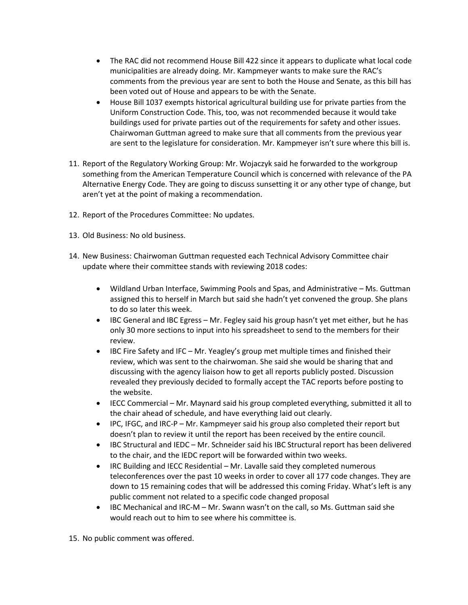- The RAC did not recommend House Bill 422 since it appears to duplicate what local code municipalities are already doing. Mr. Kampmeyer wants to make sure the RAC's comments from the previous year are sent to both the House and Senate, as this bill has been voted out of House and appears to be with the Senate.
- House Bill 1037 exempts historical agricultural building use for private parties from the Uniform Construction Code. This, too, was not recommended because it would take buildings used for private parties out of the requirements for safety and other issues. Chairwoman Guttman agreed to make sure that all comments from the previous year are sent to the legislature for consideration. Mr. Kampmeyer isn't sure where this bill is.
- 11. Report of the Regulatory Working Group: Mr. Wojaczyk said he forwarded to the workgroup something from the American Temperature Council which is concerned with relevance of the PA Alternative Energy Code. They are going to discuss sunsetting it or any other type of change, but aren't yet at the point of making a recommendation.
- 12. Report of the Procedures Committee: No updates.
- 13. Old Business: No old business.
- 14. New Business: Chairwoman Guttman requested each Technical Advisory Committee chair update where their committee stands with reviewing 2018 codes:
	- Wildland Urban Interface, Swimming Pools and Spas, and Administrative Ms. Guttman assigned this to herself in March but said she hadn't yet convened the group. She plans to do so later this week.
	- IBC General and IBC Egress Mr. Fegley said his group hasn't yet met either, but he has only 30 more sections to input into his spreadsheet to send to the members for their review.
	- IBC Fire Safety and IFC Mr. Yeagley's group met multiple times and finished their review, which was sent to the chairwoman. She said she would be sharing that and discussing with the agency liaison how to get all reports publicly posted. Discussion revealed they previously decided to formally accept the TAC reports before posting to the website.
	- IECC Commercial Mr. Maynard said his group completed everything, submitted it all to the chair ahead of schedule, and have everything laid out clearly.
	- IPC, IFGC, and IRC-P Mr. Kampmeyer said his group also completed their report but doesn't plan to review it until the report has been received by the entire council.
	- IBC Structural and IEDC Mr. Schneider said his IBC Structural report has been delivered to the chair, and the IEDC report will be forwarded within two weeks.
	- IRC Building and IECC Residential Mr. Lavalle said they completed numerous teleconferences over the past 10 weeks in order to cover all 177 code changes. They are down to 15 remaining codes that will be addressed this coming Friday. What's left is any public comment not related to a specific code changed proposal
	- IBC Mechanical and IRC-M Mr. Swann wasn't on the call, so Ms. Guttman said she would reach out to him to see where his committee is.
- 15. No public comment was offered.